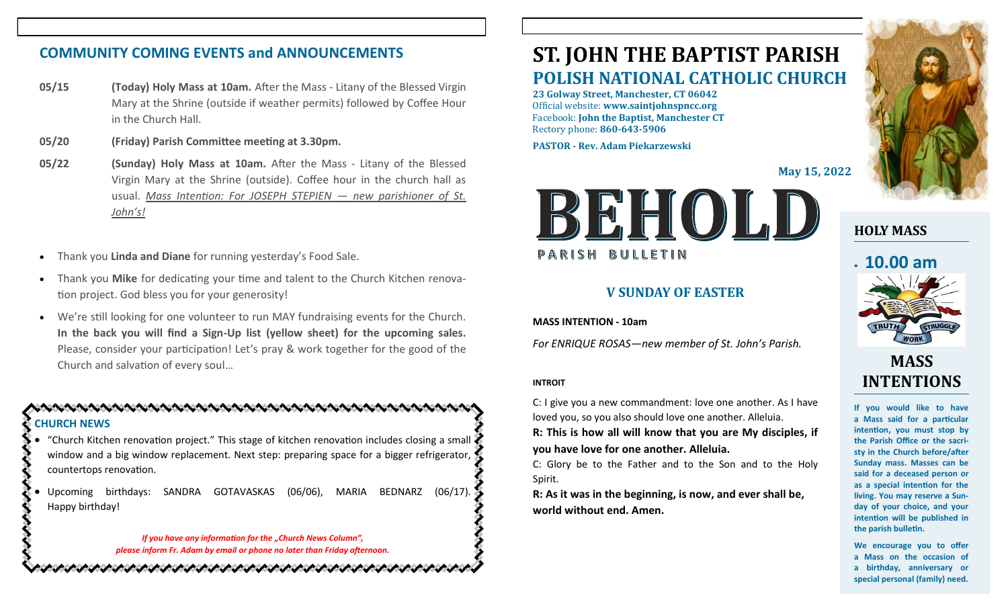# **COMMUNITY COMING EVENTS and ANNOUNCEMENTS**

- **05/15 (Today) Holy Mass at 10am.** After the Mass Litany of the Blessed Virgin Mary at the Shrine (outside if weather permits) followed by Coffee Hour in the Church Hall.
- **05/20 (Friday) Parish Committee meeting at 3.30pm.**
- **05/22 (Sunday) Holy Mass at 10am.** After the Mass Litany of the Blessed Virgin Mary at the Shrine (outside). Coffee hour in the church hall as usual. *Mass Intention: For JOSEPH STEPIEN — new parishioner of St. John's!*
- Thank you **Linda and Diane** for running yesterday's Food Sale.
- Thank you **Mike** for dedicating your time and talent to the Church Kitchen renovation project. God bless you for your generosity!
- We're still looking for one volunteer to run MAY fundraising events for the Church. **In the back you will find a Sign-Up list (yellow sheet) for the upcoming sales.**  Please, consider your participation! Let's pray & work together for the good of the Church and salvation of every soul…

### **CHURCH NEWS**

- "Church Kitchen renovation project." This stage of kitchen renovation includes closing a small window and a big window replacement. Next step: preparing space for a bigger refrigerator, countertops renovation.
- Upcoming birthdays: SANDRA GOTAVASKAS (06/06), MARIA BEDNARZ (06/17). Happy birthday!

ノン・ノン・ソン・ノン・ノン ノン・ノン・ノン・ノン ノン・ノン・

*If you have any information for the "Church News Column", please inform Fr. Adam by email or phone no later than Friday afternoon.*

# **ST. JOHN THE BAPTIST PARISH POLISH NATIONAL CATHOLIC CHURCH**

**23 Golway Street, Manchester, CT 06042** Official website: **www.saintjohnspncc.org** Facebook: **John the Baptist, Manchester CT** Rectory phone: **860-643-5906** 

**PASTOR - Rev. Adam Piekarzewski**

**May 15, 2022**



## **V SUNDAY OF EASTER**

**MASS INTENTION - 10am**

*For ENRIQUE ROSAS—new member of St. John's Parish.* 

#### **INTROIT**

C: I give you a new commandment: love one another. As I have loved you, so you also should love one another. Alleluia.

**R: This is how all will know that you are My disciples, if you have love for one another. Alleluia.**

C: Glory be to the Father and to the Son and to the Holy Spirit.

**R: As it was in the beginning, is now, and ever shall be, world without end. Amen.**



**HOLY MASS**

# • **10.00 am**



# **MASS INTENTIONS**

**If you would like to have a Mass said for a particular intention, you must stop by the Parish Office or the sacristy in the Church before/after Sunday mass. Masses can be said for a deceased person or as a special intention for the living. You may reserve a Sunday of your choice, and your intention will be published in the parish bulletin.**

**We encourage you to offer a Mass on the occasion of a birthday, anniversary or special personal (family) need.**